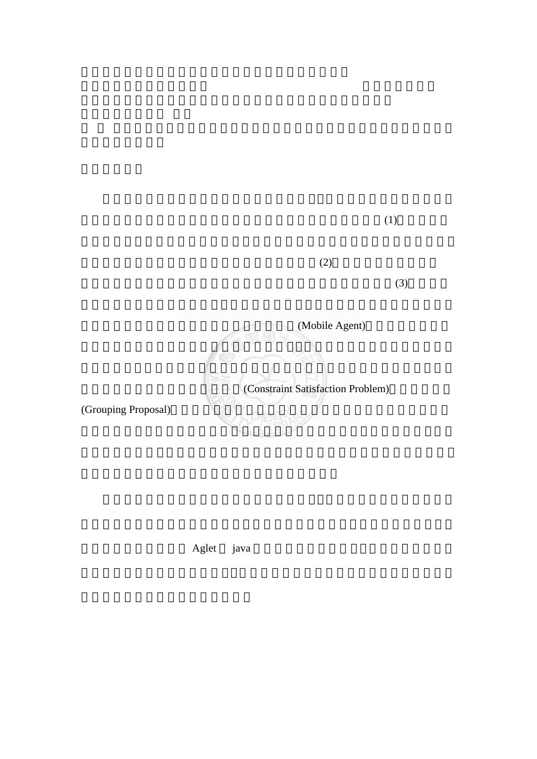